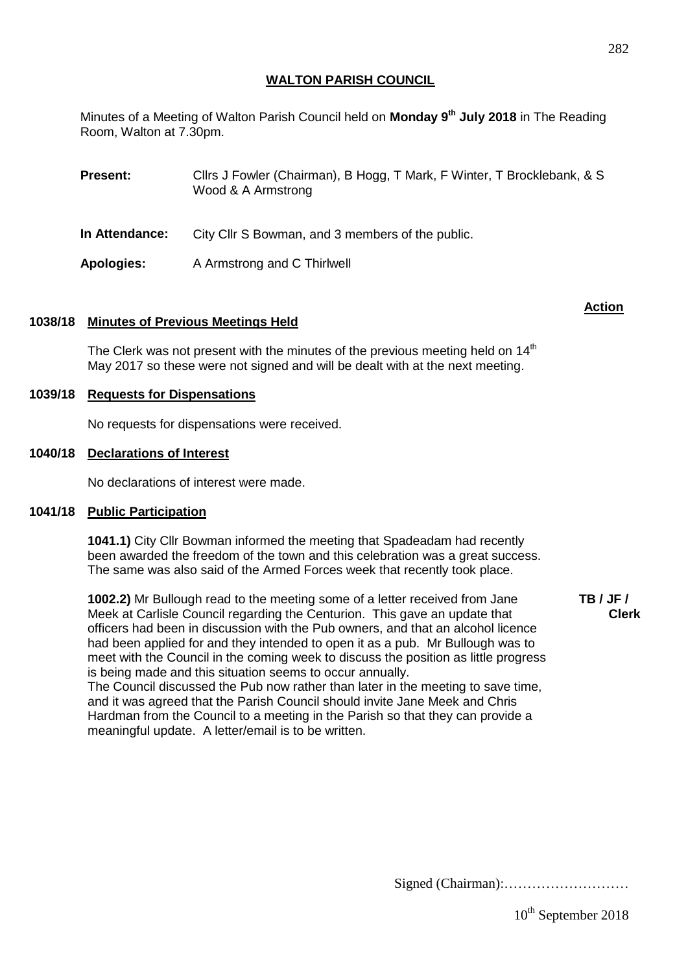Minutes of a Meeting of Walton Parish Council held on **Monday 9 th July 2018** in The Reading Room, Walton at 7.30pm.

| <b>Present:</b> | Clirs J Fowler (Chairman), B Hogg, T Mark, F Winter, T Brocklebank, & S<br>Wood & A Armstrong |
|-----------------|-----------------------------------------------------------------------------------------------|
| In Attendance:  | City Cllr S Bowman, and 3 members of the public.                                              |
| Apologies:      | A Armstrong and C Thirlwell                                                                   |

# **1038/18 Minutes of Previous Meetings Held**

The Clerk was not present with the minutes of the previous meeting held on  $14<sup>th</sup>$ May 2017 so these were not signed and will be dealt with at the next meeting.

# **1039/18 Requests for Dispensations**

No requests for dispensations were received.

### **1040/18 Declarations of Interest**

No declarations of interest were made.

### **1041/18 Public Participation**

**1041.1)** City Cllr Bowman informed the meeting that Spadeadam had recently been awarded the freedom of the town and this celebration was a great success. The same was also said of the Armed Forces week that recently took place.

**1002.2)** Mr Bullough read to the meeting some of a letter received from Jane Meek at Carlisle Council regarding the Centurion. This gave an update that officers had been in discussion with the Pub owners, and that an alcohol licence had been applied for and they intended to open it as a pub. Mr Bullough was to meet with the Council in the coming week to discuss the position as little progress is being made and this situation seems to occur annually.

The Council discussed the Pub now rather than later in the meeting to save time, and it was agreed that the Parish Council should invite Jane Meek and Chris Hardman from the Council to a meeting in the Parish so that they can provide a meaningful update. A letter/email is to be written.

**TB / JF / Clerk**

Signed (Chairman):………………………

**Action**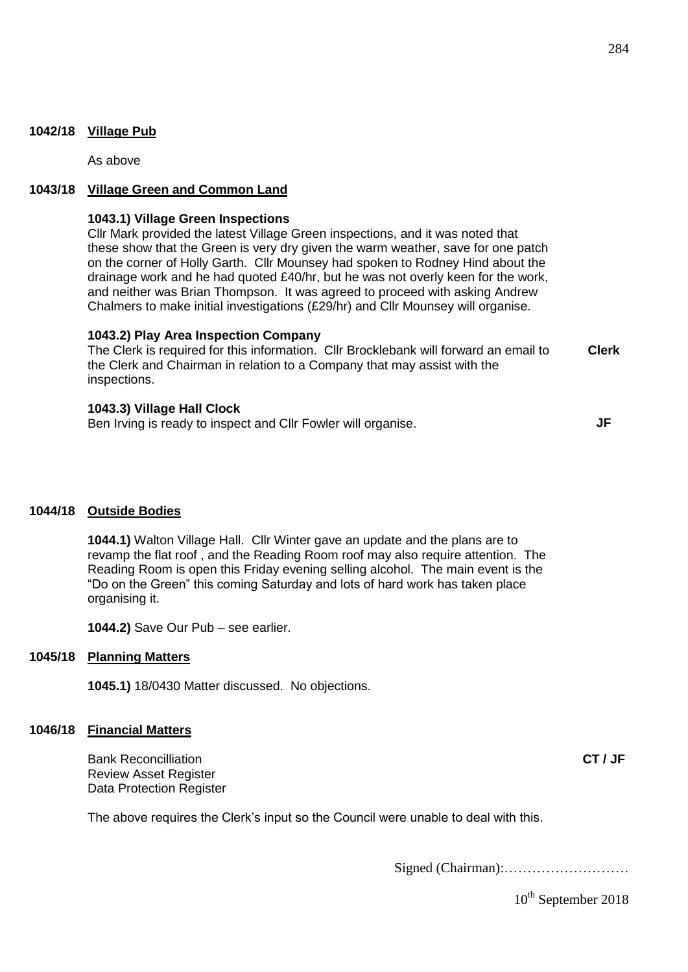As above

### **1043/18 Village Green and Common Land**

#### **1043.1) Village Green Inspections**

Cllr Mark provided the latest Village Green inspections, and it was noted that these show that the Green is very dry given the warm weather, save for one patch on the corner of Holly Garth. Cllr Mounsey had spoken to Rodney Hind about the drainage work and he had quoted £40/hr, but he was not overly keen for the work, and neither was Brian Thompson. It was agreed to proceed with asking Andrew Chalmers to make initial investigations (£29/hr) and Cllr Mounsey will organise.

#### **1043.2) Play Area Inspection Company**

The Clerk is required for this information. Cllr Brocklebank will forward an email to the Clerk and Chairman in relation to a Company that may assist with the inspections. **Clerk**

#### **1043.3) Village Hall Clock**

Ben Irving is ready to inspect and Cllr Fowler will organise.

**JF**

#### **1044/18 Outside Bodies**

**1044.1)** Walton Village Hall. Cllr Winter gave an update and the plans are to revamp the flat roof , and the Reading Room roof may also require attention. The Reading Room is open this Friday evening selling alcohol. The main event is the "Do on the Green" this coming Saturday and lots of hard work has taken place organising it.

**1044.2)** Save Our Pub – see earlier.

#### **1045/18 Planning Matters**

**1045.1)** 18/0430 Matter discussed. No objections.

### **1046/18 Financial Matters**

Bank Reconcilliation Review Asset Register Data Protection Register

The above requires the Clerk's input so the Council were unable to deal with this.

Signed (Chairman):………………………

10<sup>th</sup> September 2018

**CT / JF**